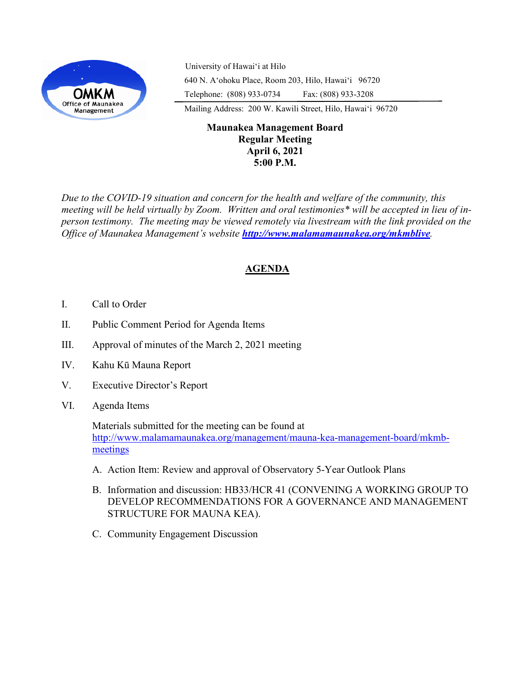

University of Hawaiʻi at Hilo 640 N. A'ohoku Place, Room 203, Hilo, Hawai'i 96720 Telephone: (808) 933-0734 Fax: (808) 933-3208

Mailing Address: 200 W. Kawili Street, Hilo, Hawai'i 96720

## **Maunakea Management Board Regular Meeting April 6, 2021 5:00 P.M.**

*Due to the COVID-19 situation and concern for the health and welfare of the community, this meeting will be held virtually by Zoom. Written and oral testimonies\* will be accepted in lieu of inperson testimony. The meeting may be viewed remotely via livestream with the link provided on the Office of Maunakea Management's website <http://www.malamamaunakea.org/mkmblive>.*

# **AGENDA**

- I. Call to Order
- II. Public Comment Period for Agenda Items
- III. Approval of minutes of the March 2, 2021 meeting
- IV. Kahu Kū Mauna Report
- V. Executive Director's Report
- VI. Agenda Items

Materials submitted for the meeting can be found at [http://www.malamamaunakea.org/management/mauna](http://www.malamamaunakea.org/management/mauna-kea-management-board/mkmb-meetings)-kea-management-board/mkmb[meetings](http://www.malamamaunakea.org/management/mauna-kea-management-board/mkmb-meetings)

- A. Action Item: Review and approval of Observatory 5-Year Outlook Plans
- B. Information and discussion: HB33/HCR 41 (CONVENING A WORKING GROUP TO DEVELOP RECOMMENDATIONS FOR A GOVERNANCE AND MANAGEMENT STRUCTURE FOR MAUNA KEA).
- C. Community Engagement Discussion